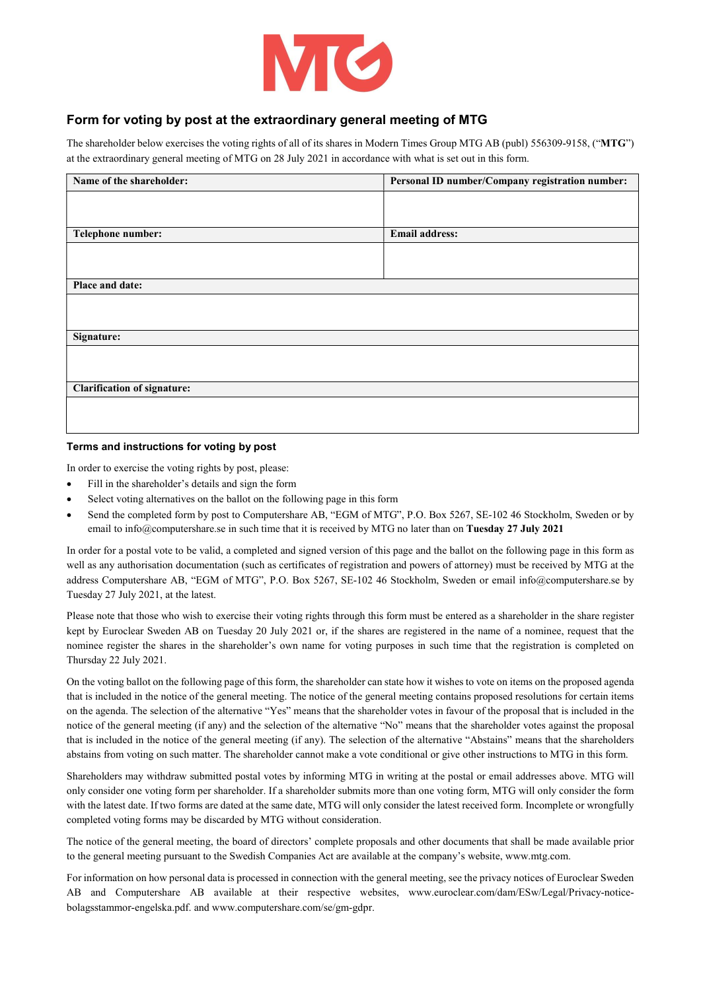

## Form for voting by post at the extraordinary general meeting of MTG

The shareholder below exercises the voting rights of all of its shares in Modern Times Group MTG AB (publ) 556309-9158, ("MTG") at the extraordinary general meeting of MTG on 28 July 2021 in accordance with what is set out in this form.

| Name of the shareholder:           | Personal ID number/Company registration number: |  |  |
|------------------------------------|-------------------------------------------------|--|--|
|                                    |                                                 |  |  |
|                                    |                                                 |  |  |
| Telephone number:                  | <b>Email address:</b>                           |  |  |
|                                    |                                                 |  |  |
|                                    |                                                 |  |  |
| Place and date:                    |                                                 |  |  |
|                                    |                                                 |  |  |
|                                    |                                                 |  |  |
| Signature:                         |                                                 |  |  |
|                                    |                                                 |  |  |
|                                    |                                                 |  |  |
| <b>Clarification of signature:</b> |                                                 |  |  |
|                                    |                                                 |  |  |
|                                    |                                                 |  |  |

## Terms and instructions for voting by post

In order to exercise the voting rights by post, please:

- Fill in the shareholder's details and sign the form
- Select voting alternatives on the ballot on the following page in this form
- Send the completed form by post to Computershare AB, "EGM of MTG", P.O. Box 5267, SE-102 46 Stockholm, Sweden or by email to info@computershare.se in such time that it is received by MTG no later than on Tuesday 27 July 2021

In order for a postal vote to be valid, a completed and signed version of this page and the ballot on the following page in this form as well as any authorisation documentation (such as certificates of registration and powers of attorney) must be received by MTG at the address Computershare AB, "EGM of MTG", P.O. Box 5267, SE-102 46 Stockholm, Sweden or email info@computershare.se by Tuesday 27 July 2021, at the latest.

Please note that those who wish to exercise their voting rights through this form must be entered as a shareholder in the share register kept by Euroclear Sweden AB on Tuesday 20 July 2021 or, if the shares are registered in the name of a nominee, request that the nominee register the shares in the shareholder's own name for voting purposes in such time that the registration is completed on Thursday 22 July 2021.

On the voting ballot on the following page of this form, the shareholder can state how it wishes to vote on items on the proposed agenda that is included in the notice of the general meeting. The notice of the general meeting contains proposed resolutions for certain items on the agenda. The selection of the alternative "Yes" means that the shareholder votes in favour of the proposal that is included in the notice of the general meeting (if any) and the selection of the alternative "No" means that the shareholder votes against the proposal that is included in the notice of the general meeting (if any). The selection of the alternative "Abstains" means that the shareholders abstains from voting on such matter. The shareholder cannot make a vote conditional or give other instructions to MTG in this form.

Shareholders may withdraw submitted postal votes by informing MTG in writing at the postal or email addresses above. MTG will only consider one voting form per shareholder. If a shareholder submits more than one voting form, MTG will only consider the form with the latest date. If two forms are dated at the same date, MTG will only consider the latest received form. Incomplete or wrongfully completed voting forms may be discarded by MTG without consideration.

The notice of the general meeting, the board of directors' complete proposals and other documents that shall be made available prior to the general meeting pursuant to the Swedish Companies Act are available at the company's website, www.mtg.com.

For information on how personal data is processed in connection with the general meeting, see the privacy notices of Euroclear Sweden AB and Computershare AB available at their respective websites, www.euroclear.com/dam/ESw/Legal/Privacy-noticebolagsstammor-engelska.pdf. and www.computershare.com/se/gm-gdpr.